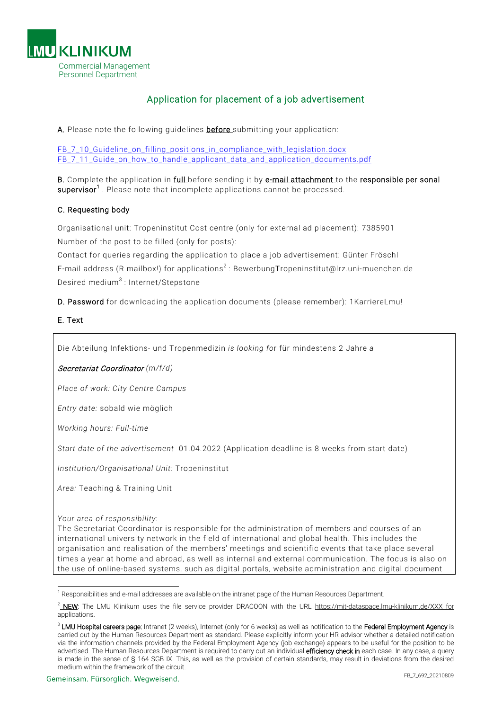

# Application for placement of a job advertisement

A. Please note the following guidelines **before** submitting your application:

FB<sub>7</sub> 10 Guideline on filling positions in compliance with legislation.docx [FB\\_7\\_11\\_Guide\\_on\\_how\\_to\\_handle\\_applicant\\_data\\_and\\_application\\_documents.pdf](http://sp2010.info.med.uni-muenchen.de/websites/dcpers/Dokumentbibliothek_Stand%2018092012/FB_7_11_Leitfaden_Umgang_mit%20Bewerberdaten_und_Bewerbungsunterlagen.pdf)

B. Complete the application in full before sending it by e-mail attachment to the responsible per sonal supervisor<sup>1</sup>. Please note that incomplete applications cannot be processed.

## C. Requesting body

Organisational unit: Tropeninstitut Cost centre (only for external ad placement): 7385901 Number of the post to be filled (only for posts):

Contact for queries regarding the application to place a job advertisement: Günter Fröschl E-mail address (R mailbox!) for applications<sup>2</sup> : BewerbungTropeninstitut@lrz.uni-muenchen.de Desired medium<sup>3</sup> : Internet/Stepstone

D. Password for downloading the application documents (please remember): 1KarriereLmu!

#### E. Text

Die Abteilung Infektions- und Tropenmedizin *is looking fo*r für mindestens 2 Jahre *a*

### Secretariat Coordinator *(m/f/d)*

*Place of work: City Centre Campus*

*Entry date:* sobald wie möglich

*Working hours: Full-time*

*Start date of the advertisement* 01.04.2022 (Application deadline is 8 weeks from start date)

*Institution/Organisational Unit:* Tropeninstitut

*Area:* Teaching & Training Unit

#### *Your area of responsibility:*

1

The Secretariat Coordinator is responsible for the administration of members and courses of an international university network in the field of international and global health. This includes the organisation and realisation of the members' meetings and scientific events that take place several times a year at home and abroad, as well as internal and external communication. The focus is also on the use of online-based systems, such as digital portals, website administration and digital document

<sup>&</sup>lt;sup>1</sup> Responsibilities and e-mail addresses are available on the intranet page of the Human Resources Department.

<sup>&</sup>lt;sup>2</sup> NEW: The LMU Klinikum uses the file service provider DRACOON with the URL https://mit-dataspace.lmu-klinikum.de/XXX for applications.

<sup>&</sup>lt;sup>3</sup> LMU Hospital careers page: Intranet (2 weeks), Internet (only for 6 weeks) as well as notification to the Federal Employment Agency is carried out by the Human Resources Department as standard. Please explicitly inform your HR advisor whether a detailed notification via the information channels provided by the Federal Employment Agency (job exchange) appears to be useful for the position to be advertised. The Human Resources Department is required to carry out an individual efficiency check in each case. In any case, a query is made in the sense of § 164 SGB IX. This, as well as the provision of certain standards, may result in deviations from the desired medium within the framework of the circuit.